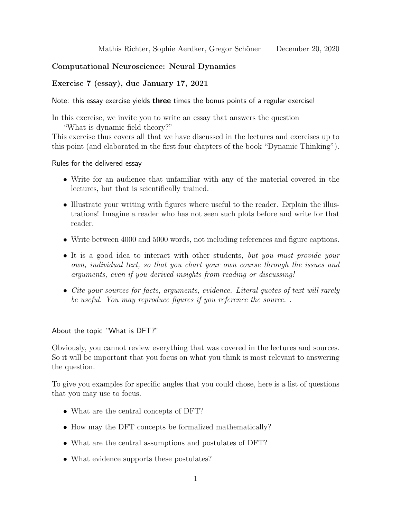# Computational Neuroscience: Neural Dynamics

## Exercise 7 (essay), due January 17, 2021

Note: this essay exercise yields three times the bonus points of a regular exercise!

In this exercise, we invite you to write an essay that answers the question "What is dynamic field theory?"

This exercise thus covers all that we have discussed in the lectures and exercises up to this point (and elaborated in the first four chapters of the book "Dynamic Thinking").

Rules for the delivered essay

- Write for an audience that unfamiliar with any of the material covered in the lectures, but that is scientifically trained.
- Illustrate your writing with figures where useful to the reader. Explain the illustrations! Imagine a reader who has not seen such plots before and write for that reader.
- Write between 4000 and 5000 words, not including references and figure captions.
- It is a good idea to interact with other students, but you must provide your own, individual text, so that you chart your own course through the issues and arguments, even if you derived insights from reading or discussing!
- Cite your sources for facts, arguments, evidence. Literal quotes of text will rarely be useful. You may reproduce figures if you reference the source. .

## About the topic "What is DFT?"

Obviously, you cannot review everything that was covered in the lectures and sources. So it will be important that you focus on what you think is most relevant to answering the question.

To give you examples for specific angles that you could chose, here is a list of questions that you may use to focus.

- What are the central concepts of DFT?
- How may the DFT concepts be formalized mathematically?
- What are the central assumptions and postulates of DFT?
- What evidence supports these postulates?